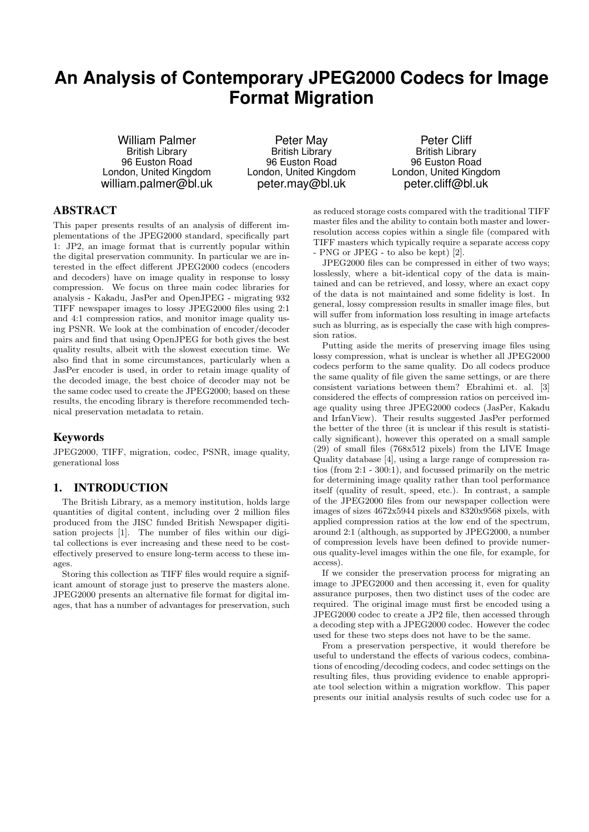# **An Analysis of Contemporary JPEG2000 Codecs for Image Format Migration**

William Palmer British Library 96 Euston Road London, United Kingdom william.palmer@bl.uk

Peter May British Library 96 Euston Road London, United Kingdom peter.may@bl.uk

Peter Cliff British Library 96 Euston Road London, United Kingdom peter.cliff@bl.uk

# ABSTRACT

This paper presents results of an analysis of different implementations of the JPEG2000 standard, specifically part 1: JP2, an image format that is currently popular within the digital preservation community. In particular we are interested in the effect different JPEG2000 codecs (encoders and decoders) have on image quality in response to lossy compression. We focus on three main codec libraries for analysis - Kakadu, JasPer and OpenJPEG - migrating 932 TIFF newspaper images to lossy JPEG2000 files using 2:1 and 4:1 compression ratios, and monitor image quality using PSNR. We look at the combination of encoder/decoder pairs and find that using OpenJPEG for both gives the best quality results, albeit with the slowest execution time. We also find that in some circumstances, particularly when a JasPer encoder is used, in order to retain image quality of the decoded image, the best choice of decoder may not be the same codec used to create the JPEG2000; based on these results, the encoding library is therefore recommended technical preservation metadata to retain.

# Keywords

JPEG2000, TIFF, migration, codec, PSNR, image quality, generational loss

#### 1. INTRODUCTION

The British Library, as a memory institution, holds large quantities of digital content, including over 2 million files produced from the JISC funded British Newspaper digitisation projects [1]. The number of files within our digital collections is ever increasing and these need to be costeffectively preserved to ensure long-term access to these images.

Storing this collection as TIFF files would require a significant amount of storage just to preserve the masters alone. JPEG2000 presents an alternative file format for digital images, that has a number of advantages for preservation, such

as reduced storage costs compared with the traditional TIFF master files and the ability to contain both master and lowerresolution access copies within a single file (compared with TIFF masters which typically require a separate access copy - PNG or JPEG - to also be kept) [2].

JPEG2000 files can be compressed in either of two ways; losslessly, where a bit-identical copy of the data is maintained and can be retrieved, and lossy, where an exact copy of the data is not maintained and some fidelity is lost. In general, lossy compression results in smaller image files, but will suffer from information loss resulting in image artefacts such as blurring, as is especially the case with high compression ratios.

Putting aside the merits of preserving image files using lossy compression, what is unclear is whether all JPEG2000 codecs perform to the same quality. Do all codecs produce the same quality of file given the same settings, or are there consistent variations between them? Ebrahimi et. al. [3] considered the effects of compression ratios on perceived image quality using three JPEG2000 codecs (JasPer, Kakadu and IrfanView). Their results suggested JasPer performed the better of the three (it is unclear if this result is statistically significant), however this operated on a small sample (29) of small files (768x512 pixels) from the LIVE Image Quality database [4], using a large range of compression ratios (from 2:1 - 300:1), and focussed primarily on the metric for determining image quality rather than tool performance itself (quality of result, speed, etc.). In contrast, a sample of the JPEG2000 files from our newspaper collection were images of sizes 4672x5944 pixels and 8320x9568 pixels, with applied compression ratios at the low end of the spectrum, around 2:1 (although, as supported by JPEG2000, a number of compression levels have been defined to provide numerous quality-level images within the one file, for example, for access).

If we consider the preservation process for migrating an image to JPEG2000 and then accessing it, even for quality assurance purposes, then two distinct uses of the codec are required. The original image must first be encoded using a JPEG2000 codec to create a JP2 file, then accessed through a decoding step with a JPEG2000 codec. However the codec used for these two steps does not have to be the same.

From a preservation perspective, it would therefore be useful to understand the effects of various codecs, combinations of encoding/decoding codecs, and codec settings on the resulting files, thus providing evidence to enable appropriate tool selection within a migration workflow. This paper presents our initial analysis results of such codec use for a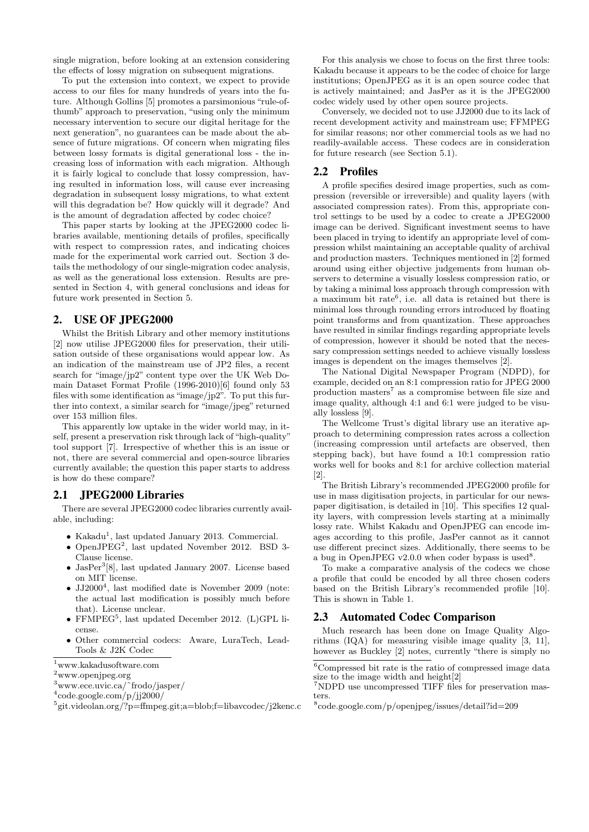single migration, before looking at an extension considering the effects of lossy migration on subsequent migrations.

To put the extension into context, we expect to provide access to our files for many hundreds of years into the future. Although Gollins [5] promotes a parsimonious "rule-ofthumb" approach to preservation, "using only the minimum necessary intervention to secure our digital heritage for the next generation", no guarantees can be made about the absence of future migrations. Of concern when migrating files between lossy formats is digital generational loss - the increasing loss of information with each migration. Although it is fairly logical to conclude that lossy compression, having resulted in information loss, will cause ever increasing degradation in subsequent lossy migrations, to what extent will this degradation be? How quickly will it degrade? And is the amount of degradation affected by codec choice?

This paper starts by looking at the JPEG2000 codec libraries available, mentioning details of profiles, specifically with respect to compression rates, and indicating choices made for the experimental work carried out. Section 3 details the methodology of our single-migration codec analysis, as well as the generational loss extension. Results are presented in Section 4, with general conclusions and ideas for future work presented in Section 5.

# 2. USE OF JPEG2000

Whilst the British Library and other memory institutions [2] now utilise JPEG2000 files for preservation, their utilisation outside of these organisations would appear low. As an indication of the mainstream use of JP2 files, a recent search for "image/jp2" content type over the UK Web Domain Dataset Format Profile (1996-2010)[6] found only 53 files with some identification as "image/jp2". To put this further into context, a similar search for "image/jpeg" returned over 153 million files.

This apparently low uptake in the wider world may, in itself, present a preservation risk through lack of "high-quality" tool support [7]. Irrespective of whether this is an issue or not, there are several commercial and open-source libraries currently available; the question this paper starts to address is how do these compare?

# 2.1 JPEG2000 Libraries

There are several JPEG2000 codec libraries currently available, including:

- $\bullet$  Kakadu<sup>1</sup>, last updated January 2013. Commercial.
- OpenJ $\text{PEG}^2$ , last updated November 2012. BSD 3-Clause license.
- JasPer<sup>3</sup>[8], last updated January 2007. License based on MIT license.
- $\bullet$  JJ2000<sup>4</sup>, last modified date is November 2009 (note: the actual last modification is possibly much before that). License unclear.
- FFMPEG<sup>5</sup> , last updated December 2012. (L)GPL license.
- Other commercial codecs: Aware, LuraTech, Lead-Tools & J2K Codec

 $\prescript{1}{}{\textrm{www.kakadusoftware.com}}$ 

<sup>2</sup>www.openjpeg.org

 $3$ www.ece.uvic.ca/ $\sim$ frodo/jasper/

<sup>5</sup>git.videolan.org/?p=ffmpeg.git;a=blob;f=libavcodec/j2kenc.c

For this analysis we chose to focus on the first three tools: Kakadu because it appears to be the codec of choice for large institutions; OpenJPEG as it is an open source codec that is actively maintained; and JasPer as it is the JPEG2000 codec widely used by other open source projects.

Conversely, we decided not to use JJ2000 due to its lack of recent development activity and mainstream use; FFMPEG for similar reasons; nor other commercial tools as we had no readily-available access. These codecs are in consideration for future research (see Section 5.1).

### 2.2 Profiles

A profile specifies desired image properties, such as compression (reversible or irreversible) and quality layers (with associated compression rates). From this, appropriate control settings to be used by a codec to create a JPEG2000 image can be derived. Significant investment seems to have been placed in trying to identify an appropriate level of compression whilst maintaining an acceptable quality of archival and production masters. Techniques mentioned in [2] formed around using either objective judgements from human observers to determine a visually lossless compression ratio, or by taking a minimal loss approach through compression with a maximum bit rate<sup>6</sup>, i.e. all data is retained but there is minimal loss through rounding errors introduced by floating point transforms and from quantization. These approaches have resulted in similar findings regarding appropriate levels of compression, however it should be noted that the necessary compression settings needed to achieve visually lossless images is dependent on the images themselves [2].

The National Digital Newspaper Program (NDPD), for example, decided on an 8:1 compression ratio for JPEG 2000 production masters<sup>7</sup> as a compromise between file size and image quality, although 4:1 and 6:1 were judged to be visually lossless [9].

The Wellcome Trust's digital library use an iterative approach to determining compression rates across a collection (increasing compression until artefacts are observed, then stepping back), but have found a 10:1 compression ratio works well for books and 8:1 for archive collection material [2].

The British Library's recommended JPEG2000 profile for use in mass digitisation projects, in particular for our newspaper digitisation, is detailed in [10]. This specifies 12 quality layers, with compression levels starting at a minimally lossy rate. Whilst Kakadu and OpenJPEG can encode images according to this profile, JasPer cannot as it cannot use different precinct sizes. Additionally, there seems to be a bug in OpenJPEG v2.0.0 when coder bypass is used<sup>8</sup>.

To make a comparative analysis of the codecs we chose a profile that could be encoded by all three chosen coders based on the British Library's recommended profile [10]. This is shown in Table 1.

### 2.3 Automated Codec Comparison

Much research has been done on Image Quality Algorithms (IQA) for measuring visible image quality [3, 11], however as Buckley [2] notes, currently "there is simply no

<sup>4</sup> code.google.com/p/jj2000/

 $\sqrt[6]{\text{Compressed}}$  bit rate is the ratio of compressed image data size to the image width and height[2]

<sup>7</sup>NDPD use uncompressed TIFF files for preservation masters.

<sup>8</sup> code.google.com/p/openjpeg/issues/detail?id=209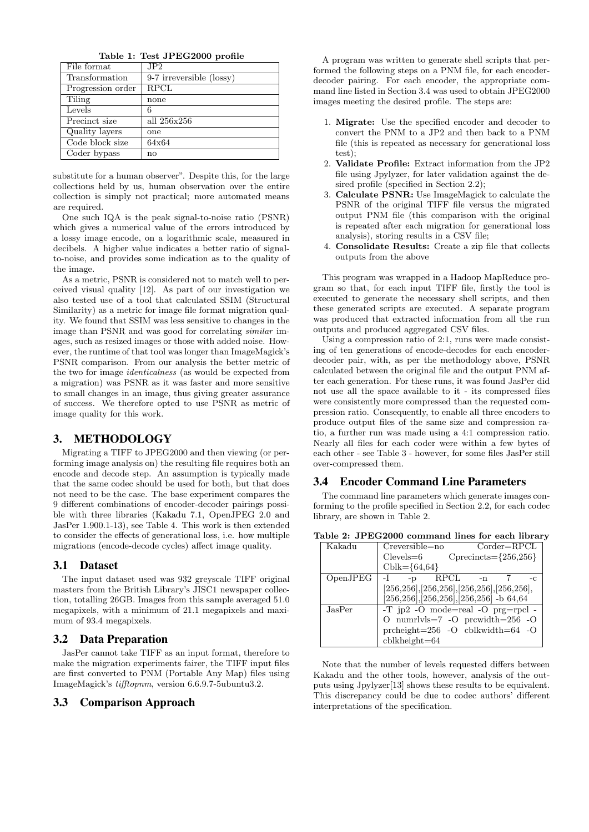Table 1: Test JPEG2000 profile

| File format       | JP2                      |
|-------------------|--------------------------|
| Transformation    | 9-7 irreversible (lossy) |
| Progression order | <b>RPCL</b>              |
| Tiling            | none                     |
| Levels            | 6                        |
| Precinct size     | all 256x256              |
| Quality layers    | one                      |
| Code block size   | 64x64                    |
| Coder bypass      | no                       |

substitute for a human observer". Despite this, for the large collections held by us, human observation over the entire collection is simply not practical; more automated means are required.

One such IQA is the peak signal-to-noise ratio (PSNR) which gives a numerical value of the errors introduced by a lossy image encode, on a logarithmic scale, measured in decibels. A higher value indicates a better ratio of signalto-noise, and provides some indication as to the quality of the image.

As a metric, PSNR is considered not to match well to perceived visual quality [12]. As part of our investigation we also tested use of a tool that calculated SSIM (Structural Similarity) as a metric for image file format migration quality. We found that SSIM was less sensitive to changes in the image than PSNR and was good for correlating similar images, such as resized images or those with added noise. However, the runtime of that tool was longer than ImageMagick's PSNR comparison. From our analysis the better metric of the two for image identicalness (as would be expected from a migration) was PSNR as it was faster and more sensitive to small changes in an image, thus giving greater assurance of success. We therefore opted to use PSNR as metric of image quality for this work.

### 3. METHODOLOGY

Migrating a TIFF to JPEG2000 and then viewing (or performing image analysis on) the resulting file requires both an encode and decode step. An assumption is typically made that the same codec should be used for both, but that does not need to be the case. The base experiment compares the 9 different combinations of encoder-decoder pairings possible with three libraries (Kakadu 7.1, OpenJPEG 2.0 and JasPer 1.900.1-13), see Table 4. This work is then extended to consider the effects of generational loss, i.e. how multiple migrations (encode-decode cycles) affect image quality.

### 3.1 Dataset

The input dataset used was 932 greyscale TIFF original masters from the British Library's JISC1 newspaper collection, totalling 26GB. Images from this sample averaged 51.0 megapixels, with a minimum of 21.1 megapixels and maximum of 93.4 megapixels.

#### 3.2 Data Preparation

JasPer cannot take TIFF as an input format, therefore to make the migration experiments fairer, the TIFF input files are first converted to PNM (Portable Any Map) files using ImageMagick's tifftopnm, version 6.6.9.7-5ubuntu3.2.

#### 3.3 Comparison Approach

A program was written to generate shell scripts that performed the following steps on a PNM file, for each encoderdecoder pairing. For each encoder, the appropriate command line listed in Section 3.4 was used to obtain JPEG2000 images meeting the desired profile. The steps are:

- 1. Migrate: Use the specified encoder and decoder to convert the PNM to a JP2 and then back to a PNM file (this is repeated as necessary for generational loss test);
- 2. Validate Profile: Extract information from the JP2 file using Jpylyzer, for later validation against the desired profile (specified in Section 2.2);
- 3. Calculate PSNR: Use ImageMagick to calculate the PSNR of the original TIFF file versus the migrated output PNM file (this comparison with the original is repeated after each migration for generational loss analysis), storing results in a CSV file;
- 4. Consolidate Results: Create a zip file that collects outputs from the above

This program was wrapped in a Hadoop MapReduce program so that, for each input TIFF file, firstly the tool is executed to generate the necessary shell scripts, and then these generated scripts are executed. A separate program was produced that extracted information from all the run outputs and produced aggregated CSV files.

Using a compression ratio of 2:1, runs were made consisting of ten generations of encode-decodes for each encoderdecoder pair, with, as per the methodology above, PSNR calculated between the original file and the output PNM after each generation. For these runs, it was found JasPer did not use all the space available to it - its compressed files were consistently more compressed than the requested compression ratio. Consequently, to enable all three encoders to produce output files of the same size and compression ratio, a further run was made using a 4:1 compression ratio. Nearly all files for each coder were within a few bytes of each other - see Table 3 - however, for some files JasPer still over-compressed them.

### 3.4 Encoder Command Line Parameters

The command line parameters which generate images conforming to the profile specified in Section 2.2, for each codec library, are shown in Table 2.

|  |  | Table 2: JPEG2000 command lines for each library |  |  |  |
|--|--|--------------------------------------------------|--|--|--|
|  |  |                                                  |  |  |  |

| Kakadu   | $\mathrm{Corder} = \mathrm{RPCL}$<br>$Creversible = no$ |
|----------|---------------------------------------------------------|
|          | $C$ precincts= ${256,256}$<br>$Clevels = 6$             |
|          | $Cblk = \{64, 64\}$                                     |
| OpenJPEG | RPCL<br>$-D$<br>$-n$<br>-c                              |
|          | $[256, 256], [256, 256], [256, 256], [256, 256],$       |
|          | $[256, 256], [256, 256], [256, 256]$ -b 64,64           |
| JasPer.  | $-T$ jp2 $-O$ mode=real $-O$ prg=rpcl $-P$              |
|          | O numrlvls=7 -O prcwidth= $256$ -O                      |
|          | prcheight= $256$ -O cblkwidth= $64$ -O                  |
|          | $cb$ kheight $=64$                                      |

Note that the number of levels requested differs between Kakadu and the other tools, however, analysis of the outputs using Jpylyzer[13] shows these results to be equivalent. This discrepancy could be due to codec authors' different interpretations of the specification.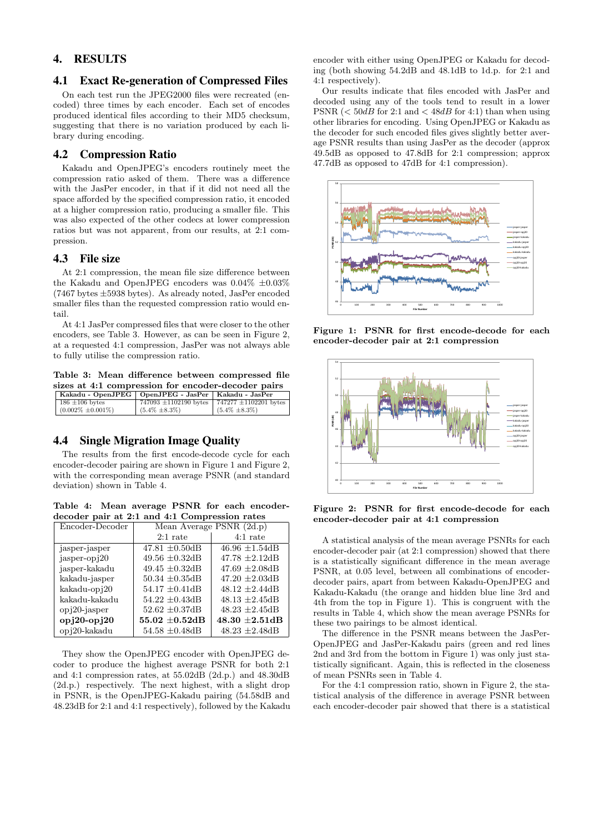# 4. RESULTS

# 4.1 Exact Re-generation of Compressed Files

On each test run the JPEG2000 files were recreated (encoded) three times by each encoder. Each set of encodes produced identical files according to their MD5 checksum, suggesting that there is no variation produced by each library during encoding.

#### 4.2 Compression Ratio

Kakadu and OpenJPEG's encoders routinely meet the compression ratio asked of them. There was a difference with the JasPer encoder, in that if it did not need all the space afforded by the specified compression ratio, it encoded at a higher compression ratio, producing a smaller file. This was also expected of the other codecs at lower compression ratios but was not apparent, from our results, at 2:1 compression.

### 4.3 File size

At 2:1 compression, the mean file size difference between the Kakadu and OpenJPEG encoders was  $0.04\% \pm 0.03\%$  $(7467 \text{ bytes } \pm 5938 \text{ bytes})$ . As already noted, JasPer encoded smaller files than the requested compression ratio would entail.

At 4:1 JasPer compressed files that were closer to the other encoders, see Table 3. However, as can be seen in Figure 2, at a requested 4:1 compression, JasPer was not always able to fully utilise the compression ratio.

Table 3: Mean difference between compressed file sizes at 4:1 compression for encoder-decoder pairs

| Kakadu - OpenJPEG   OpenJPEG - JasPer   Kakadu - JasPer |                                                         |                     |
|---------------------------------------------------------|---------------------------------------------------------|---------------------|
| $186 \pm 106$ bytes                                     | 747093 $\pm$ 1102190 bytes   747277 $\pm$ 1102201 bytes |                     |
| $(0.002\% \pm 0.001\%)$                                 | $(5.4\% \pm 8.3\%)$                                     | $(5.4\% \pm 8.3\%)$ |

### 4.4 Single Migration Image Quality

The results from the first encode-decode cycle for each encoder-decoder pairing are shown in Figure 1 and Figure 2, with the corresponding mean average PSNR (and standard deviation) shown in Table 4.

Table 4: Mean average PSNR for each encoderdecoder pair at 2:1 and 4:1 Compression rates

| Encoder-Decoder | Mean Average PSNR (2d.p) |                     |  |
|-----------------|--------------------------|---------------------|--|
|                 | $2:1$ rate               | $4:1$ rate          |  |
| jasper-jasper   | $47.81 \pm 0.50$ dB      | $46.96 \pm 1.54$ dB |  |
| jasper-opj20    | $49.56 \pm 0.32$ dB      | $47.78 \pm 2.12$ dB |  |
| jasper-kakadu   | 49.45 $\pm 0.32$ dB      | $47.69 \pm 2.08$ dB |  |
| kakadu-jasper   | $50.34 \pm 0.35$ dB      | $47.20 \pm 2.03$ dB |  |
| kakadu-opj20    | $54.17 \pm 0.41$ dB      | $48.12 \pm 2.44$ dB |  |
| kakadu-kakadu   | $54.22 \pm 0.43$ dB      | $48.13 \pm 2.45$ dB |  |
| $opi20-igaser$  | $52.62 \pm 0.37$ dB      | $48.23 \pm 2.45$ dB |  |
| $opj20-opj20$   | $55.02 \pm 0.52$ dB      | $48.30 \pm 2.51$ dB |  |
| opj20-kakadu    | $54.58 \pm 0.48$ dB      | $48.23 \pm 2.48$ dB |  |

They show the OpenJPEG encoder with OpenJPEG decoder to produce the highest average PSNR for both 2:1 and 4:1 compression rates, at 55.02dB (2d.p.) and 48.30dB (2d.p.) respectively. The next highest, with a slight drop in PSNR, is the OpenJPEG-Kakadu pairing (54.58dB and 48.23dB for 2:1 and 4:1 respectively), followed by the Kakadu

encoder with either using OpenJPEG or Kakadu for decoding (both showing 54.2dB and 48.1dB to 1d.p. for 2:1 and 4:1 respectively).

Our results indicate that files encoded with JasPer and decoded using any of the tools tend to result in a lower PSNR  $(<50dB$  for 2:1 and  $< 48dB$  for 4:1) than when using other libraries for encoding. Using OpenJPEG or Kakadu as the decoder for such encoded files gives slightly better average PSNR results than using JasPer as the decoder (approx 49.5dB as opposed to 47.8dB for 2:1 compression; approx 47.7dB as opposed to 47dB for 4:1 compression).



Figure 1: PSNR for first encode-decode for each encoder-decoder pair at 2:1 compression



Figure 2: PSNR for first encode-decode for each encoder-decoder pair at 4:1 compression

A statistical analysis of the mean average PSNRs for each encoder-decoder pair (at 2:1 compression) showed that there is a statistically significant difference in the mean average PSNR, at 0.05 level, between all combinations of encoderdecoder pairs, apart from between Kakadu-OpenJPEG and Kakadu-Kakadu (the orange and hidden blue line 3rd and 4th from the top in Figure 1). This is congruent with the results in Table 4, which show the mean average PSNRs for these two pairings to be almost identical.

The difference in the PSNR means between the JasPer-OpenJPEG and JasPer-Kakadu pairs (green and red lines 2nd and 3rd from the bottom in Figure 1) was only just statistically significant. Again, this is reflected in the closeness of mean PSNRs seen in Table 4.

For the 4:1 compression ratio, shown in Figure 2, the statistical analysis of the difference in average PSNR between each encoder-decoder pair showed that there is a statistical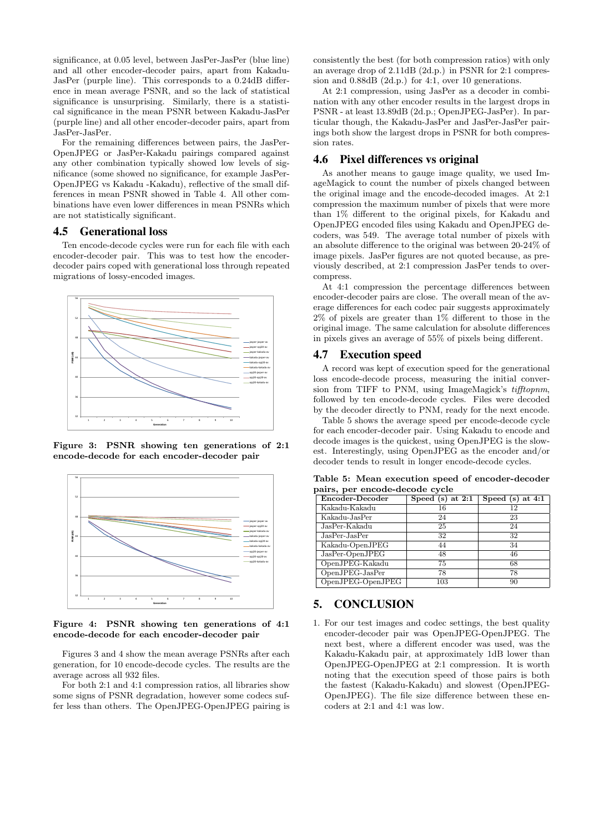significance, at 0.05 level, between JasPer-JasPer (blue line) and all other encoder-decoder pairs, apart from Kakadu-JasPer (purple line). This corresponds to a 0.24dB difference in mean average PSNR, and so the lack of statistical significance is unsurprising. Similarly, there is a statistical significance in the mean PSNR between Kakadu-JasPer (purple line) and all other encoder-decoder pairs, apart from JasPer-JasPer.

For the remaining differences between pairs, the JasPer-OpenJPEG or JasPer-Kakadu pairings compared against any other combination typically showed low levels of significance (some showed no significance, for example JasPer-OpenJPEG vs Kakadu -Kakadu), reflective of the small differences in mean PSNR showed in Table 4. All other combinations have even lower differences in mean PSNRs which are not statistically significant.

### 4.5 Generational loss

Ten encode-decode cycles were run for each file with each encoder-decoder pair. This was to test how the encoderdecoder pairs coped with generational loss through repeated migrations of lossy-encoded images.



Figure 3: PSNR showing ten generations of 2:1 encode-decode for each encoder-decoder pair



Figure 4: PSNR showing ten generations of 4:1 encode-decode for each encoder-decoder pair

Figures 3 and 4 show the mean average PSNRs after each generation, for 10 encode-decode cycles. The results are the average across all 932 files.

For both 2:1 and 4:1 compression ratios, all libraries show some signs of PSNR degradation, however some codecs suffer less than others. The OpenJPEG-OpenJPEG pairing is

consistently the best (for both compression ratios) with only an average drop of 2.11dB (2d.p.) in PSNR for 2:1 compression and 0.88dB (2d.p.) for 4:1, over 10 generations.

At 2:1 compression, using JasPer as a decoder in combination with any other encoder results in the largest drops in PSNR - at least 13.89dB (2d.p.; OpenJPEG-JasPer). In particular though, the Kakadu-JasPer and JasPer-JasPer pairings both show the largest drops in PSNR for both compression rates.

### 4.6 Pixel differences vs original

As another means to gauge image quality, we used ImageMagick to count the number of pixels changed between the original image and the encode-decoded images. At 2:1 compression the maximum number of pixels that were more than 1% different to the original pixels, for Kakadu and OpenJPEG encoded files using Kakadu and OpenJPEG decoders, was 549. The average total number of pixels with an absolute difference to the original was between 20-24% of image pixels. JasPer figures are not quoted because, as previously described, at 2:1 compression JasPer tends to overcompress.

At 4:1 compression the percentage differences between encoder-decoder pairs are close. The overall mean of the average differences for each codec pair suggests approximately 2% of pixels are greater than 1% different to those in the original image. The same calculation for absolute differences in pixels gives an average of 55% of pixels being different.

### 4.7 Execution speed

A record was kept of execution speed for the generational loss encode-decode process, measuring the initial conversion from TIFF to PNM, using ImageMagick's tifftopnm, followed by ten encode-decode cycles. Files were decoded by the decoder directly to PNM, ready for the next encode.

Table 5 shows the average speed per encode-decode cycle for each encoder-decoder pair. Using Kakadu to encode and decode images is the quickest, using OpenJPEG is the slowest. Interestingly, using OpenJPEG as the encoder and/or decoder tends to result in longer encode-decode cycles.

| pairs, per encode-decode cycle |                    |                    |  |  |
|--------------------------------|--------------------|--------------------|--|--|
| Encoder-Decoder                | Speed $(s)$ at 2:1 | Speed $(s)$ at 4:1 |  |  |
| Kakadu-Kakadu                  | 16                 | 12                 |  |  |
| Kakadu-JasPer                  | 24                 | 23                 |  |  |
| JasPer-Kakadu                  | 25                 | 24                 |  |  |
| $JasPer-JasPer$                | 32                 | 32                 |  |  |
| Kakadu-OpenJPEG                | 44                 | 34                 |  |  |
| JasPer-OpenJPEG                | 48                 | 46                 |  |  |
| OpenJPEG-Kakadu                | 75                 | 68                 |  |  |

OpenJPEG-JasPer 78 78 OpenJPEG-OpenJPEG 103 90

Table 5: Mean execution speed of encoder-decoder

# 5. CONCLUSION

1. For our test images and codec settings, the best quality encoder-decoder pair was OpenJPEG-OpenJPEG. The next best, where a different encoder was used, was the Kakadu-Kakadu pair, at approximately 1dB lower than OpenJPEG-OpenJPEG at 2:1 compression. It is worth noting that the execution speed of those pairs is both the fastest (Kakadu-Kakadu) and slowest (OpenJPEG-OpenJPEG). The file size difference between these encoders at 2:1 and 4:1 was low.